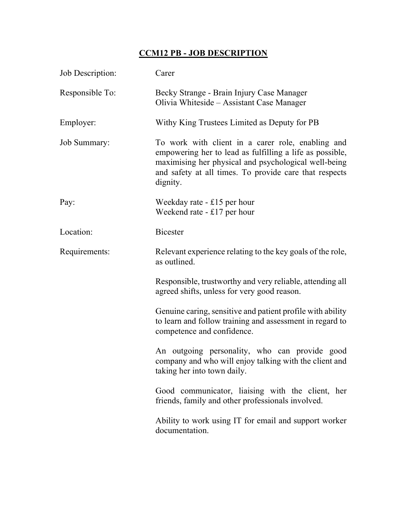## CCM12 PB - JOB DESCRIPTION

| Job Description:    | Carer                                                                                                                                                                                                                                       |
|---------------------|---------------------------------------------------------------------------------------------------------------------------------------------------------------------------------------------------------------------------------------------|
| Responsible To:     | Becky Strange - Brain Injury Case Manager<br>Olivia Whiteside - Assistant Case Manager                                                                                                                                                      |
| Employer:           | Withy King Trustees Limited as Deputy for PB                                                                                                                                                                                                |
| <b>Job Summary:</b> | To work with client in a carer role, enabling and<br>empowering her to lead as fulfilling a life as possible,<br>maximising her physical and psychological well-being<br>and safety at all times. To provide care that respects<br>dignity. |
| Pay:                | Weekday rate $-$ £15 per hour<br>Weekend rate $-£17$ per hour                                                                                                                                                                               |
| Location:           | <b>Bicester</b>                                                                                                                                                                                                                             |
| Requirements:       | Relevant experience relating to the key goals of the role,<br>as outlined.                                                                                                                                                                  |
|                     | Responsible, trustworthy and very reliable, attending all<br>agreed shifts, unless for very good reason.                                                                                                                                    |
|                     | Genuine caring, sensitive and patient profile with ability<br>to learn and follow training and assessment in regard to<br>competence and confidence.                                                                                        |
|                     | An outgoing personality, who can provide good<br>company and who will enjoy talking with the client and<br>taking her into town daily.                                                                                                      |
|                     | Good communicator, liaising with the client, her<br>friends, family and other professionals involved.                                                                                                                                       |
|                     | Ability to work using IT for email and support worker<br>documentation.                                                                                                                                                                     |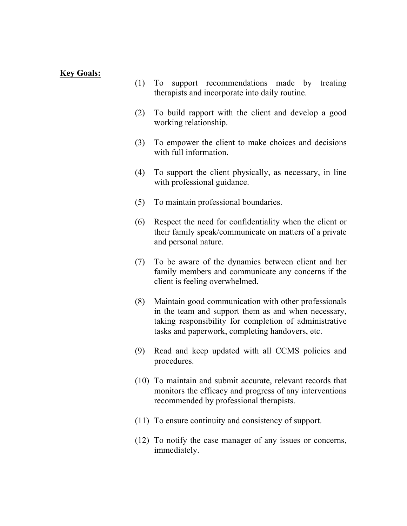## Key Goals:

- (1) To support recommendations made by treating therapists and incorporate into daily routine.
- (2) To build rapport with the client and develop a good working relationship.
- (3) To empower the client to make choices and decisions with full information.
- (4) To support the client physically, as necessary, in line with professional guidance.
- (5) To maintain professional boundaries.
- (6) Respect the need for confidentiality when the client or their family speak/communicate on matters of a private and personal nature.
- (7) To be aware of the dynamics between client and her family members and communicate any concerns if the client is feeling overwhelmed.
- (8) Maintain good communication with other professionals in the team and support them as and when necessary, taking responsibility for completion of administrative tasks and paperwork, completing handovers, etc.
- (9) Read and keep updated with all CCMS policies and procedures.
- (10) To maintain and submit accurate, relevant records that monitors the efficacy and progress of any interventions recommended by professional therapists.
- (11) To ensure continuity and consistency of support.
- (12) To notify the case manager of any issues or concerns, immediately.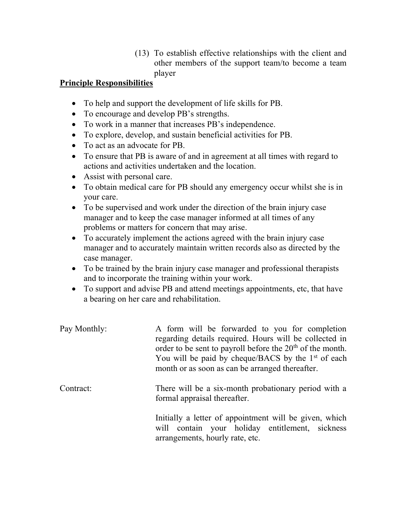(13) To establish effective relationships with the client and other members of the support team/to become a team player

## Principle Responsibilities

- To help and support the development of life skills for PB.
- To encourage and develop PB's strengths.
- To work in a manner that increases PB's independence.
- To explore, develop, and sustain beneficial activities for PB.
- To act as an advocate for PB.
- To ensure that PB is aware of and in agreement at all times with regard to actions and activities undertaken and the location.
- Assist with personal care.
- To obtain medical care for PB should any emergency occur whilst she is in your care.
- To be supervised and work under the direction of the brain injury case manager and to keep the case manager informed at all times of any problems or matters for concern that may arise.
- To accurately implement the actions agreed with the brain injury case manager and to accurately maintain written records also as directed by the case manager.
- To be trained by the brain injury case manager and professional therapists and to incorporate the training within your work.
- To support and advise PB and attend meetings appointments, etc, that have a bearing on her care and rehabilitation.

| Pay Monthly: | A form will be forwarded to you for completion<br>regarding details required. Hours will be collected in<br>order to be sent to payroll before the 20 <sup>th</sup> of the month.<br>You will be paid by cheque/BACS by the $1st$ of each<br>month or as soon as can be arranged thereafter. |
|--------------|----------------------------------------------------------------------------------------------------------------------------------------------------------------------------------------------------------------------------------------------------------------------------------------------|
| Contract:    | There will be a six-month probationary period with a<br>formal appraisal thereafter.                                                                                                                                                                                                         |
|              | Initially a letter of appointment will be given, which<br>will contain your holiday entitlement, sickness                                                                                                                                                                                    |

arrangements, hourly rate, etc.